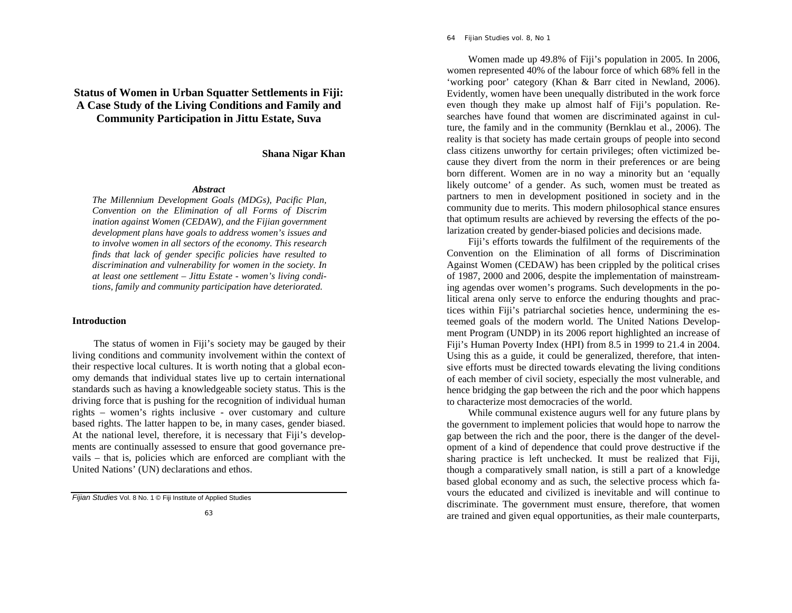# **Status of Women in Urban Squatter Settlements in Fiji: A Case Study of the Living Conditions and Family and Community Participation in Jittu Estate, Suva**

**Shana Nigar Khan** 

# *Abstract*

*The Millennium Development Goals (MDGs), Pacific Plan, Convention on the Elimination of all Forms of Discrim ination against Women (CEDAW), and the Fijian government development plans have goals to address women's issues and to involve women in all sectors of the economy. This research finds that lack of gender specific policies have resulted to discrimination and vulnerability for women in the society. In at least one settlement – Jittu Estate - women's living conditions, family and community participation have deteriorated.* 

# **Introduction**

The status of women in Fiji's society may be gauged by their living conditions and community involvement within the context of their respective local cultures. It is worth noting that a global economy demands that individual states live up to certain international standards such as having a knowledgeable society status. This is the driving force that is pushing for the recognition of individual human rights – women's rights inclusive - over customary and culture based rights. The latter happen to be, in many cases, gender biased. At the national level, therefore, it is necessary that Fiji's developments are continually assessed to ensure that good governance prevails – that is, policies which are enforced are compliant with the United Nations' (UN) declarations and ethos.

 Women made up 49.8% of Fiji's population in 2005. In 2006, women represented 40% of the labour force of which 68% fell in the 'working poor' category (Khan & Barr cited in Newland, 2006). Evidently, women have been unequally distributed in the work force even though they make up almost half of Fiji's population. Researches have found that women are discriminated against in culture, the family and in the community (Bernklau et al., 2006). The reality is that society has made certain groups of people into second class citizens unworthy for certain privileges; often victimized because they divert from the norm in their preferences or are being born different. Women are in no way a minority but an 'equally likely outcome' of a gender. As such, women must be treated as partners to men in development positioned in society and in the community due to merits. This modern philosophical stance ensures that optimum results are achieved by reversing the effects of the polarization created by gender-biased policies and decisions made.

 Fiji's efforts towards the fulfilment of the requirements of the Convention on the Elimination of all forms of Discrimination Against Women (CEDAW) has been crippled by the political crises of 1987, 2000 and 2006, despite the implementation of mainstreaming agendas over women's programs. Such developments in the political arena only serve to enforce the enduring thoughts and practices within Fiji's patriarchal societies hence, undermining the esteemed goals of the modern world. The United Nations Development Program (UNDP) in its 2006 report highlighted an increase of Fiji's Human Poverty Index (HPI) from 8.5 in 1999 to 21.4 in 2004. Using this as a guide, it could be generalized, therefore, that intensive efforts must be directed towards elevating the living conditions of each member of civil society, especially the most vulnerable, and hence bridging the gap between the rich and the poor which happens to characterize most democracies of the world.

 While communal existence augurs well for any future plans by the government to implement policies that would hope to narrow the gap between the rich and the poor, there is the danger of the development of a kind of dependence that could prove destructive if the sharing practice is left unchecked. It must be realized that Fiji, though a comparatively small nation, is still a part of a knowledge based global economy and as such, the selective process which favours the educated and civilized is inevitable and will continue to discriminate. The government must ensure, therefore, that women are trained and given equal opportunities, as their male counterparts,

*Fijian Studies* Vol. 8 No. 1 © Fiji Institute of Applied Studies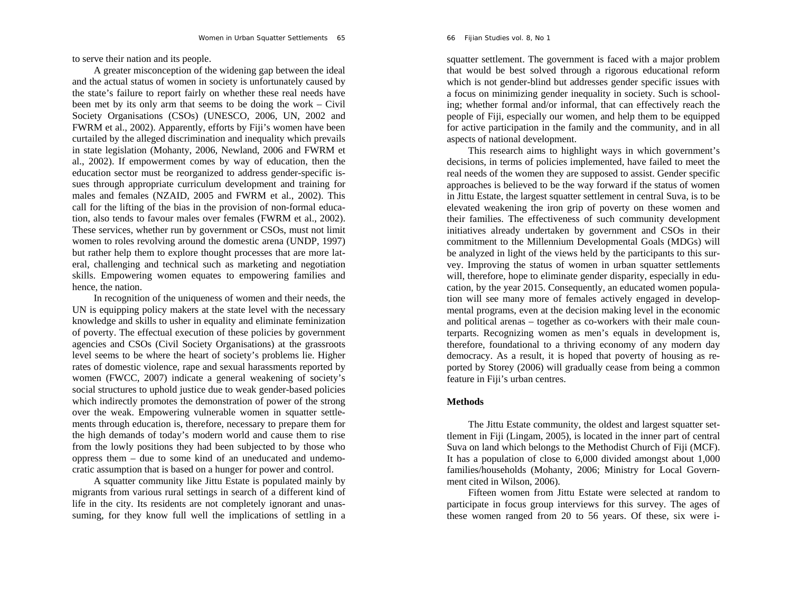to serve their nation and its people.

 A greater misconception of the widening gap between the ideal and the actual status of women in society is unfortunately caused by the state's failure to report fairly on whether these real needs have been met by its only arm that seems to be doing the work – Civil Society Organisations (CSOs) (UNESCO, 2006, UN, 2002 and FWRM et al., 2002). Apparently, efforts by Fiji's women have been curtailed by the alleged discrimination and inequality which prevails in state legislation (Mohanty, 2006, Newland, 2006 and FWRM et al., 2002). If empowerment comes by way of education, then the education sector must be reorganized to address gender-specific issues through appropriate curriculum development and training for males and females (NZAID, 2005 and FWRM et al., 2002). This call for the lifting of the bias in the provision of non-formal education, also tends to favour males over females (FWRM et al., 2002). These services, whether run by government or CSOs, must not limit women to roles revolving around the domestic arena (UNDP, 1997) but rather help them to explore thought processes that are more lateral, challenging and technical such as marketing and negotiation skills. Empowering women equates to empowering families and hence, the nation.

 In recognition of the uniqueness of women and their needs, the UN is equipping policy makers at the state level with the necessary knowledge and skills to usher in equality and eliminate feminization of poverty. The effectual execution of these policies by government agencies and CSOs (Civil Society Organisations) at the grassroots level seems to be where the heart of society's problems lie. Higher rates of domestic violence, rape and sexual harassments reported by women (FWCC, 2007) indicate a general weakening of society's social structures to uphold justice due to weak gender-based policies which indirectly promotes the demonstration of power of the strong over the weak. Empowering vulnerable women in squatter settlements through education is, therefore, necessary to prepare them for the high demands of today's modern world and cause them to rise from the lowly positions they had been subjected to by those who oppress them – due to some kind of an uneducated and undemocratic assumption that is based on a hunger for power and control.

 A squatter community like Jittu Estate is populated mainly by migrants from various rural settings in search of a different kind of life in the city. Its residents are not completely ignorant and unassuming, for they know full well the implications of settling in a

66 *Fijian Studies* vol. 8, No 1

squatter settlement. The government is faced with a major problem that would be best solved through a rigorous educational reform which is not gender-blind but addresses gender specific issues with a focus on minimizing gender inequality in society. Such is schooling; whether formal and/or informal, that can effectively reach the people of Fiji, especially our women, and help them to be equipped for active participation in the family and the community, and in all aspects of national development.

 This research aims to highlight ways in which government's decisions, in terms of policies implemented, have failed to meet the real needs of the women they are supposed to assist. Gender specific approaches is believed to be the way forward if the status of women in Jittu Estate, the largest squatter settlement in central Suva, is to be elevated weakening the iron grip of poverty on these women and their families. The effectiveness of such community development initiatives already undertaken by government and CSOs in their commitment to the Millennium Developmental Goals (MDGs) will be analyzed in light of the views held by the participants to this survey. Improving the status of women in urban squatter settlements will, therefore, hope to eliminate gender disparity, especially in education, by the year 2015. Consequently, an educated women population will see many more of females actively engaged in developmental programs, even at the decision making level in the economic and political arenas – together as co-workers with their male counterparts. Recognizing women as men's equals in development is, therefore, foundational to a thriving economy of any modern day democracy. As a result, it is hoped that poverty of housing as reported by Storey (2006) will gradually cease from being a common feature in Fiji's urban centres.

## **Methods**

The Jittu Estate community, the oldest and largest squatter settlement in Fiji (Lingam, 2005), is located in the inner part of central Suva on land which belongs to the Methodist Church of Fiji (MCF). It has a population of close to 6,000 divided amongst about 1,000 families/households (Mohanty, 2006; Ministry for Local Government cited in Wilson, 2006).

Fifteen women from Jittu Estate were selected at random to participate in focus group interviews for this survey. The ages of these women ranged from 20 to 56 years. Of these, six were i-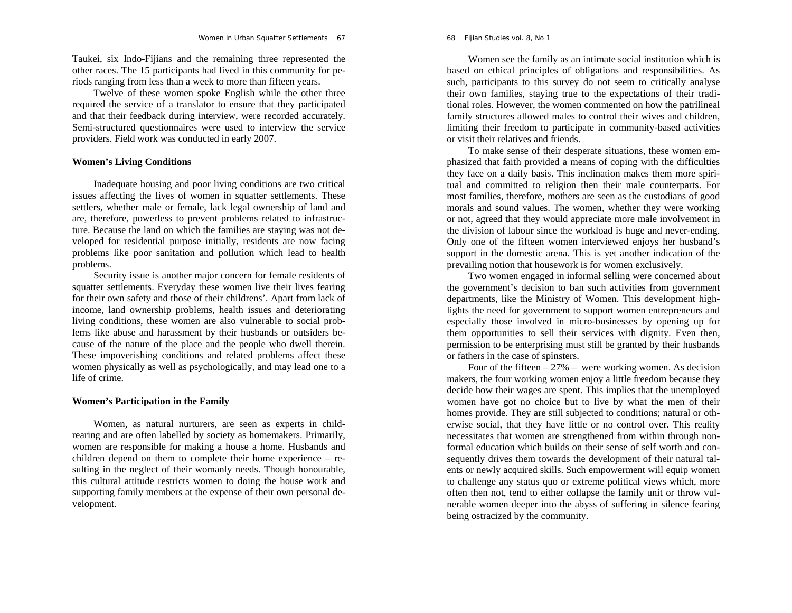Taukei, six Indo-Fijians and the remaining three represented the other races. The 15 participants had lived in this community for periods ranging from less than a week to more than fifteen years.

Twelve of these women spoke English while the other three required the service of a translator to ensure that they participated and that their feedback during interview, were recorded accurately. Semi-structured questionnaires were used to interview the service providers. Field work was conducted in early 2007.

## **Women's Living Conditions**

Inadequate housing and poor living conditions are two critical issues affecting the lives of women in squatter settlements. These settlers, whether male or female, lack legal ownership of land and are, therefore, powerless to prevent problems related to infrastructure. Because the land on which the families are staying was not developed for residential purpose initially, residents are now facing problems like poor sanitation and pollution which lead to health problems.

 Security issue is another major concern for female residents of squatter settlements. Everyday these women live their lives fearing for their own safety and those of their childrens'. Apart from lack of income, land ownership problems, health issues and deteriorating living conditions, these women are also vulnerable to social problems like abuse and harassment by their husbands or outsiders because of the nature of the place and the people who dwell therein. These impoverishing conditions and related problems affect these women physically as well as psychologically, and may lead one to a life of crime.

## **Women's Participation in the Family**

Women, as natural nurturers, are seen as experts in childrearing and are often labelled by society as homemakers. Primarily, women are responsible for making a house a home. Husbands and children depend on them to complete their home experience – resulting in the neglect of their womanly needs. Though honourable, this cultural attitude restricts women to doing the house work and supporting family members at the expense of their own personal development.

Women see the family as an intimate social institution which is based on ethical principles of obligations and responsibilities. As such, participants to this survey do not seem to critically analyse their own families, staying true to the expectations of their traditional roles. However, the women commented on how the patrilineal family structures allowed males to control their wives and children, limiting their freedom to participate in community-based activities or visit their relatives and friends.

 To make sense of their desperate situations, these women emphasized that faith provided a means of coping with the difficulties they face on a daily basis. This inclination makes them more spiritual and committed to religion then their male counterparts. For most families, therefore, mothers are seen as the custodians of good morals and sound values. The women, whether they were working or not, agreed that they would appreciate more male involvement in the division of labour since the workload is huge and never-ending. Only one of the fifteen women interviewed enjoys her husband's support in the domestic arena. This is yet another indication of the prevailing notion that housework is for women exclusively.

 Two women engaged in informal selling were concerned about the government's decision to ban such activities from government departments, like the Ministry of Women. This development highlights the need for government to support women entrepreneurs and especially those involved in micro-businesses by opening up for them opportunities to sell their services with dignity. Even then, permission to be enterprising must still be granted by their husbands or fathers in the case of spinsters.

Four of the fifteen  $-27\%$  – were working women. As decision makers, the four working women enjoy a little freedom because they decide how their wages are spent. This implies that the unemployed women have got no choice but to live by what the men of their homes provide. They are still subjected to conditions; natural or otherwise social, that they have little or no control over. This reality necessitates that women are strengthened from within through nonformal education which builds on their sense of self worth and consequently drives them towards the development of their natural talents or newly acquired skills. Such empowerment will equip women to challenge any status quo or extreme political views which, more often then not, tend to either collapse the family unit or throw vulnerable women deeper into the abyss of suffering in silence fearing being ostracized by the community.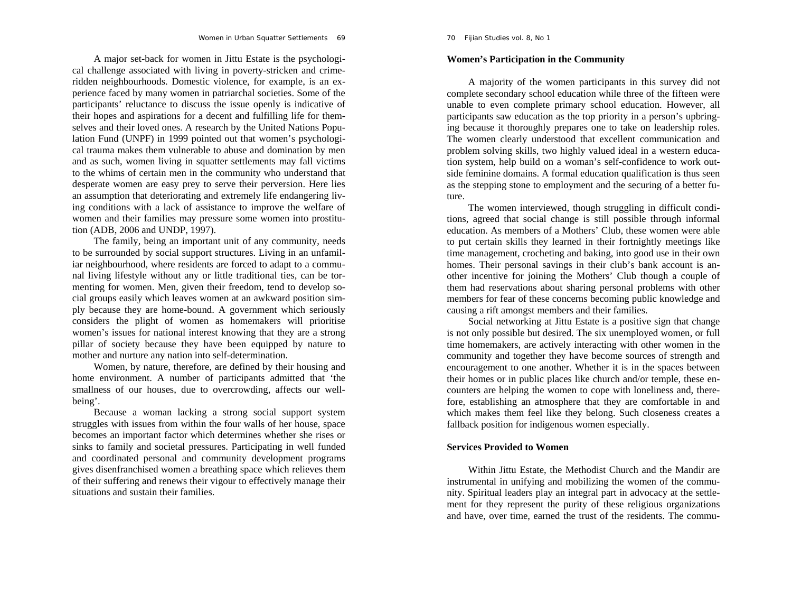# A major set-back for women in Jittu Estate is the psychological challenge associated with living in poverty-stricken and crimeridden neighbourhoods. Domestic violence, for example, is an experience faced by many women in patriarchal societies. Some of the participants' reluctance to discuss the issue openly is indicative of their hopes and aspirations for a decent and fulfilling life for themselves and their loved ones. A research by the United Nations Population Fund (UNPF) in 1999 pointed out that women's psychological trauma makes them vulnerable to abuse and domination by men and as such, women living in squatter settlements may fall victims to the whims of certain men in the community who understand that desperate women are easy prey to serve their perversion. Here lies an assumption that deteriorating and extremely life endangering living conditions with a lack of assistance to improve the welfare of women and their families may pressure some women into prostitution (ADB, 2006 and UNDP, 1997).

 The family, being an important unit of any community, needs to be surrounded by social support structures. Living in an unfamiliar neighbourhood, where residents are forced to adapt to a communal living lifestyle without any or little traditional ties, can be tormenting for women. Men, given their freedom, tend to develop social groups easily which leaves women at an awkward position simply because they are home-bound. A government which seriously considers the plight of women as homemakers will prioritise women's issues for national interest knowing that they are a strong pillar of society because they have been equipped by nature to mother and nurture any nation into self-determination.

 Women, by nature, therefore, are defined by their housing and home environment. A number of participants admitted that 'the smallness of our houses, due to overcrowding, affects our wellbeing'.

Because a woman lacking a strong social support system struggles with issues from within the four walls of her house, space becomes an important factor which determines whether she rises or sinks to family and societal pressures. Participating in well funded and coordinated personal and community development programs gives disenfranchised women a breathing space which relieves them of their suffering and renews their vigour to effectively manage their situations and sustain their families.

# **Women's Participation in the Community**

A majority of the women participants in this survey did not complete secondary school education while three of the fifteen were unable to even complete primary school education. However, all participants saw education as the top priority in a person's upbringing because it thoroughly prepares one to take on leadership roles. The women clearly understood that excellent communication and problem solving skills, two highly valued ideal in a western education system, help build on a woman's self-confidence to work outside feminine domains. A formal education qualification is thus seen as the stepping stone to employment and the securing of a better future.

 The women interviewed, though struggling in difficult conditions, agreed that social change is still possible through informal education. As members of a Mothers' Club, these women were able to put certain skills they learned in their fortnightly meetings like time management, crocheting and baking, into good use in their own homes. Their personal savings in their club's bank account is another incentive for joining the Mothers' Club though a couple of them had reservations about sharing personal problems with other members for fear of these concerns becoming public knowledge and causing a rift amongst members and their families.

 Social networking at Jittu Estate is a positive sign that change is not only possible but desired. The six unemployed women, or full time homemakers, are actively interacting with other women in the community and together they have become sources of strength and encouragement to one another. Whether it is in the spaces between their homes or in public places like church and/or temple, these encounters are helping the women to cope with loneliness and, therefore, establishing an atmosphere that they are comfortable in and which makes them feel like they belong. Such closeness creates a fallback position for indigenous women especially.

# **Services Provided to Women**

Within Jittu Estate, the Methodist Church and the Mandir are instrumental in unifying and mobilizing the women of the community. Spiritual leaders play an integral part in advocacy at the settlement for they represent the purity of these religious organizations and have, over time, earned the trust of the residents. The commu-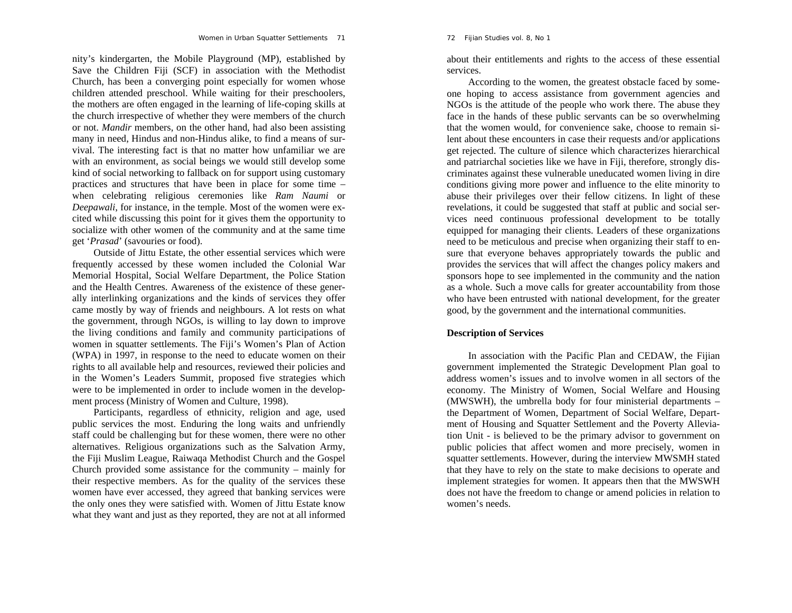nity's kindergarten, the Mobile Playground (MP), established by Save the Children Fiji (SCF) in association with the Methodist Church, has been a converging point especially for women whose children attended preschool. While waiting for their preschoolers, the mothers are often engaged in the learning of life-coping skills at the church irrespective of whether they were members of the church or not. *Mandir* members, on the other hand, had also been assisting many in need, Hindus and non-Hindus alike, to find a means of survival. The interesting fact is that no matter how unfamiliar we are with an environment, as social beings we would still develop some kind of social networking to fallback on for support using customary practices and structures that have been in place for some time – when celebrating religious ceremonies like *Ram Naumi* or *Deepawali*, for instance, in the temple. Most of the women were excited while discussing this point for it gives them the opportunity to socialize with other women of the community and at the same time get '*Prasad*' (savouries or food).

Outside of Jittu Estate, the other essential services which were frequently accessed by these women included the Colonial War Memorial Hospital, Social Welfare Department, the Police Station and the Health Centres. Awareness of the existence of these generally interlinking organizations and the kinds of services they offer came mostly by way of friends and neighbours. A lot rests on what the government, through NGOs, is willing to lay down to improve the living conditions and family and community participations of women in squatter settlements. The Fiji's Women's Plan of Action (WPA) in 1997, in response to the need to educate women on their rights to all available help and resources, reviewed their policies and in the Women's Leaders Summit, proposed five strategies which were to be implemented in order to include women in the development process (Ministry of Women and Culture, 1998).

Participants, regardless of ethnicity, religion and age, used public services the most. Enduring the long waits and unfriendly staff could be challenging but for these women, there were no other alternatives. Religious organizations such as the Salvation Army, the Fiji Muslim League, Raiwaqa Methodist Church and the Gospel Church provided some assistance for the community – mainly for their respective members. As for the quality of the services these women have ever accessed, they agreed that banking services were the only ones they were satisfied with. Women of Jittu Estate know what they want and just as they reported, they are not at all informed about their entitlements and rights to the access of these essential services.

According to the women, the greatest obstacle faced by someone hoping to access assistance from government agencies and NGOs is the attitude of the people who work there. The abuse they face in the hands of these public servants can be so overwhelming that the women would, for convenience sake, choose to remain silent about these encounters in case their requests and/or applications get rejected. The culture of silence which characterizes hierarchical and patriarchal societies like we have in Fiji, therefore, strongly discriminates against these vulnerable uneducated women living in dire conditions giving more power and influence to the elite minority to abuse their privileges over their fellow citizens. In light of these revelations, it could be suggested that staff at public and social services need continuous professional development to be totally equipped for managing their clients. Leaders of these organizations need to be meticulous and precise when organizing their staff to ensure that everyone behaves appropriately towards the public and provides the services that will affect the changes policy makers and sponsors hope to see implemented in the community and the nation as a whole. Such a move calls for greater accountability from those who have been entrusted with national development, for the greater good, by the government and the international communities.

## **Description of Services**

In association with the Pacific Plan and CEDAW, the Fijian government implemented the Strategic Development Plan goal to address women's issues and to involve women in all sectors of the economy. The Ministry of Women, Social Welfare and Housing (MWSWH), the umbrella body for four ministerial departments – the Department of Women, Department of Social Welfare, Department of Housing and Squatter Settlement and the Poverty Alleviation Unit - is believed to be the primary advisor to government on public policies that affect women and more precisely, women in squatter settlements. However, during the interview MWSMH stated that they have to rely on the state to make decisions to operate and implement strategies for women. It appears then that the MWSWH does not have the freedom to change or amend policies in relation to women's needs.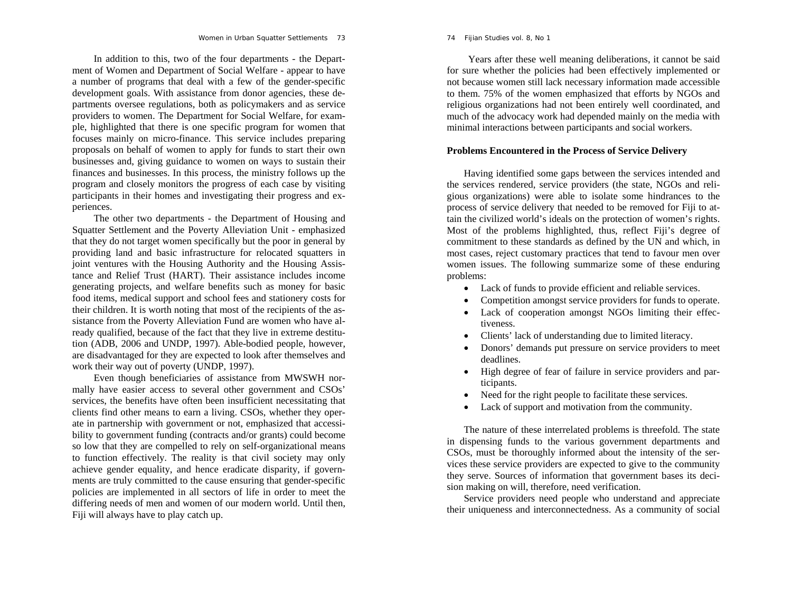In addition to this, two of the four departments - the Department of Women and Department of Social Welfare - appear to have a number of programs that deal with a few of the gender-specific development goals. With assistance from donor agencies, these departments oversee regulations, both as policymakers and as service providers to women. The Department for Social Welfare, for example, highlighted that there is one specific program for women that focuses mainly on micro-finance. This service includes preparing proposals on behalf of women to apply for funds to start their own businesses and, giving guidance to women on ways to sustain their finances and businesses. In this process, the ministry follows up the program and closely monitors the progress of each case by visiting participants in their homes and investigating their progress and experiences.

The other two departments - the Department of Housing and Squatter Settlement and the Poverty Alleviation Unit - emphasized that they do not target women specifically but the poor in general by providing land and basic infrastructure for relocated squatters in joint ventures with the Housing Authority and the Housing Assistance and Relief Trust (HART). Their assistance includes income generating projects, and welfare benefits such as money for basic food items, medical support and school fees and stationery costs for their children. It is worth noting that most of the recipients of the assistance from the Poverty Alleviation Fund are women who have already qualified, because of the fact that they live in extreme destitution (ADB, 2006 and UNDP, 1997). Able-bodied people, however, are disadvantaged for they are expected to look after themselves and work their way out of poverty (UNDP, 1997).

Even though beneficiaries of assistance from MWSWH normally have easier access to several other government and CSOs' services, the benefits have often been insufficient necessitating that clients find other means to earn a living. CSOs, whether they operate in partnership with government or not, emphasized that accessibility to government funding (contracts and/or grants) could become so low that they are compelled to rely on self-organizational means to function effectively. The reality is that civil society may only achieve gender equality, and hence eradicate disparity, if governments are truly committed to the cause ensuring that gender-specific policies are implemented in all sectors of life in order to meet the differing needs of men and women of our modern world. Until then, Fiji will always have to play catch up.

Years after these well meaning deliberations, it cannot be said for sure whether the policies had been effectively implemented or not because women still lack necessary information made accessible to them. 75% of the women emphasized that efforts by NGOs and religious organizations had not been entirely well coordinated, and much of the advocacy work had depended mainly on the media with minimal interactions between participants and social workers.

# **Problems Encountered in the Process of Service Delivery**

Having identified some gaps between the services intended and the services rendered, service providers (the state, NGOs and religious organizations) were able to isolate some hindrances to the process of service delivery that needed to be removed for Fiji to attain the civilized world's ideals on the protection of women's rights. Most of the problems highlighted, thus, reflect Fiji's degree of commitment to these standards as defined by the UN and which, in most cases, reject customary practices that tend to favour men over women issues. The following summarize some of these enduring problems:

- Lack of funds to provide efficient and reliable services.
- $\bullet$ Competition amongst service providers for funds to operate.
- 0 Lack of cooperation amongst NGOs limiting their effectiveness.
- . Clients' lack of understanding due to limited literacy.
- 0 Donors' demands put pressure on service providers to meet deadlines.
- High degree of fear of failure in service providers and participants.
- 0 Need for the right people to facilitate these services.
- $\bullet$ Lack of support and motivation from the community.

The nature of these interrelated problems is threefold. The state in dispensing funds to the various government departments and CSOs, must be thoroughly informed about the intensity of the services these service providers are expected to give to the community they serve. Sources of information that government bases its decision making on will, therefore, need verification.

Service providers need people who understand and appreciate their uniqueness and interconnectedness. As a community of social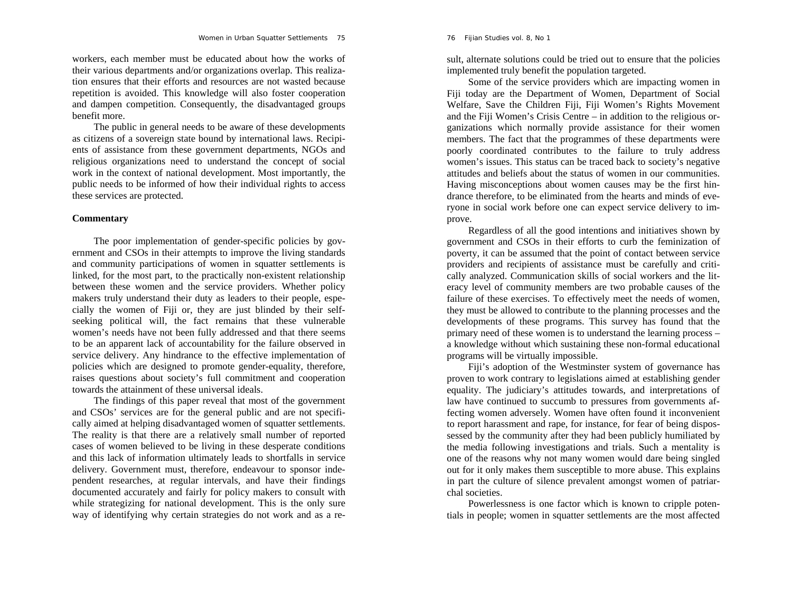workers, each member must be educated about how the works of their various departments and/or organizations overlap. This realization ensures that their efforts and resources are not wasted because repetition is avoided. This knowledge will also foster cooperation and dampen competition. Consequently, the disadvantaged groups benefit more.

The public in general needs to be aware of these developments as citizens of a sovereign state bound by international laws. Recipients of assistance from these government departments, NGOs and religious organizations need to understand the concept of social work in the context of national development. Most importantly, the public needs to be informed of how their individual rights to access these services are protected.

# **Commentary**

The poor implementation of gender-specific policies by government and CSOs in their attempts to improve the living standards and community participations of women in squatter settlements is linked, for the most part, to the practically non-existent relationship between these women and the service providers. Whether policy makers truly understand their duty as leaders to their people, especially the women of Fiji or, they are just blinded by their selfseeking political will, the fact remains that these vulnerable women's needs have not been fully addressed and that there seems to be an apparent lack of accountability for the failure observed in service delivery. Any hindrance to the effective implementation of policies which are designed to promote gender-equality, therefore, raises questions about society's full commitment and cooperation towards the attainment of these universal ideals.

The findings of this paper reveal that most of the government and CSOs' services are for the general public and are not specifically aimed at helping disadvantaged women of squatter settlements. The reality is that there are a relatively small number of reported cases of women believed to be living in these desperate conditions and this lack of information ultimately leads to shortfalls in service delivery. Government must, therefore, endeavour to sponsor independent researches, at regular intervals, and have their findings documented accurately and fairly for policy makers to consult with while strategizing for national development. This is the only sure way of identifying why certain strategies do not work and as a re-

sult, alternate solutions could be tried out to ensure that the policies<br>implemented truly benefit the population targeted.<br>Some of the service providers which are impacting women in<br>Fiji today are the Department of Women, ganizations which normally provide assistance for their women<br>members. The fact that the programmes of these departments were<br>poorly coordinated contributes to the failure to truly address<br>women's issues. This status can b drance therefore, to be eliminated from the hearts and minds of eve ryone in social work before one can expect service delivery to im-

prove.<br>Regardless of all the good intentions and initiatives shown by<br>government and CSOs in their efforts to curb the feminization of<br>poverty, it can be assumed that the point of contact between service<br>providers and reci cally analyzed. Communication skills of social workers and the lit eracy level of community members are two probable causes of the<br>failure of these exercises. To effectively meet the needs of women,<br>they must be allowed to contribute to the planning processes and the<br>developments of these

fecting women adversely. Women have often found it inconvenient to report harassment and rape, for instance, for fear of being dispos sessed by the community after they had been publicly humiliated by<br>the media following investigations and trials. Such a mentality is<br>one of the reasons why not many women would dare being singled<br>out for it only makes the chal societies. Powerlessness is one factor which is known to cripple poten-

tials in people; women in squatter settlements are the most affected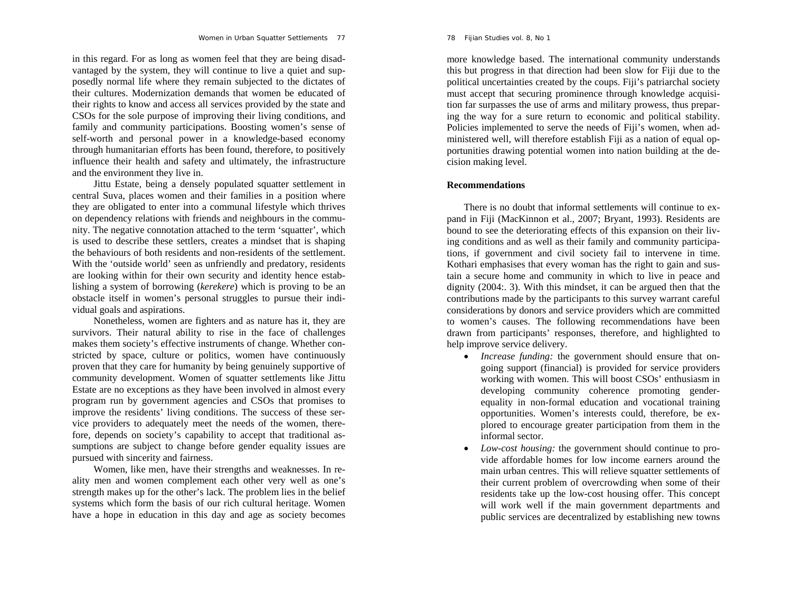in this regard. For as long as women feel that they are being disadvantaged by the system, they will continue to live a quiet and supposedly normal life where they remain subjected to the dictates of their cultures. Modernization demands that women be educated of their rights to know and access all services provided by the state and CSOs for the sole purpose of improving their living conditions, and family and community participations. Boosting women's sense of self-worth and personal power in a knowledge-based economy through humanitarian efforts has been found, therefore, to positively influence their health and safety and ultimately, the infrastructure and the environment they live in.

Jittu Estate, being a densely populated squatter settlement in central Suva, places women and their families in a position where they are obligated to enter into a communal lifestyle which thrives on dependency relations with friends and neighbours in the community. The negative connotation attached to the term 'squatter', which is used to describe these settlers, creates a mindset that is shaping the behaviours of both residents and non-residents of the settlement. With the 'outside world' seen as unfriendly and predatory, residents are looking within for their own security and identity hence establishing a system of borrowing (*kerekere*) which is proving to be an obstacle itself in women's personal struggles to pursue their individual goals and aspirations.

Nonetheless, women are fighters and as nature has it, they are survivors. Their natural ability to rise in the face of challenges makes them society's effective instruments of change. Whether constricted by space, culture or politics, women have continuously proven that they care for humanity by being genuinely supportive of community development. Women of squatter settlements like Jittu Estate are no exceptions as they have been involved in almost every program run by government agencies and CSOs that promises to improve the residents' living conditions. The success of these service providers to adequately meet the needs of the women, therefore, depends on society's capability to accept that traditional assumptions are subject to change before gender equality issues are pursued with sincerity and fairness.

Women, like men, have their strengths and weaknesses. In reality men and women complement each other very well as one's strength makes up for the other's lack. The problem lies in the belief systems which form the basis of our rich cultural heritage. Women have a hope in education in this day and age as society becomes 78 *Fijian Studies* vol. 8, No 1

more knowledge based. The international community understands this but progress in that direction had been slow for Fiji due to the political uncertainties created by the coups. Fiji's patriarchal society must accept that securing prominence through knowledge acquisition far surpasses the use of arms and military prowess, thus preparing the way for a sure return to economic and political stability. Policies implemented to serve the needs of Fiji's women, when administered well, will therefore establish Fiji as a nation of equal opportunities drawing potential women into nation building at the decision making level.

# **Recommendations**

There is no doubt that informal settlements will continue to expand in Fiji (MacKinnon et al., 2007; Bryant, 1993). Residents are bound to see the deteriorating effects of this expansion on their living conditions and as well as their family and community participations, if government and civil society fail to intervene in time. Kothari emphasises that every woman has the right to gain and sustain a secure home and community in which to live in peace and dignity (2004:. 3). With this mindset, it can be argued then that the contributions made by the participants to this survey warrant careful considerations by donors and service providers which are committed to women's causes. The following recommendations have been drawn from participants' responses, therefore, and highlighted to help improve service delivery.

- *Increase funding:* the government should ensure that ongoing support (financial) is provided for service providers working with women. This will boost CSOs' enthusiasm in developing community coherence promoting genderequality in non-formal education and vocational training opportunities. Women's interests could, therefore, be explored to encourage greater participation from them in the informal sector.
- $\bullet$  *Low-cost housing:* the government should continue to provide affordable homes for low income earners around the main urban centres. This will relieve squatter settlements of their current problem of overcrowding when some of their residents take up the low-cost housing offer. This concept will work well if the main government departments and public services are decentralized by establishing new towns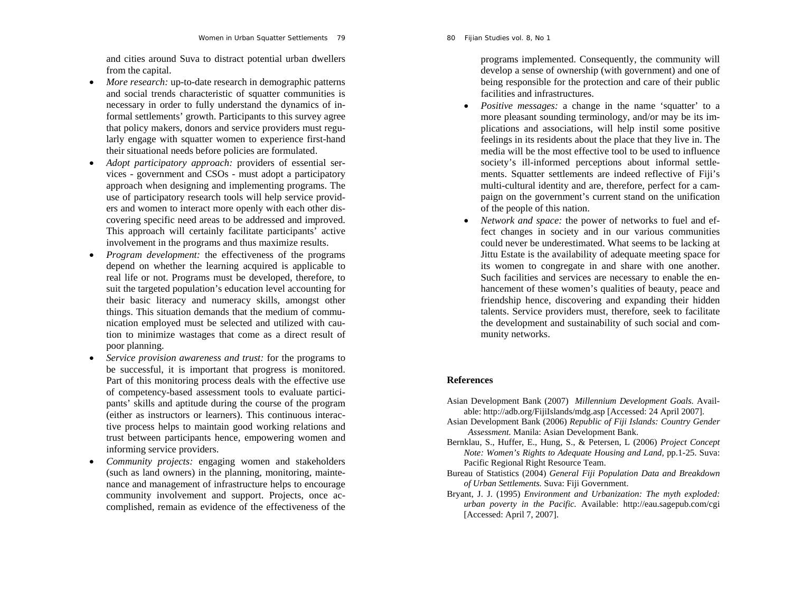and cities around Suva to distract potential urban dwellers from the capital.

- $\bullet$  *More research:* up-to-date research in demographic patterns and social trends characteristic of squatter communities is necessary in order to fully understand the dynamics of informal settlements' growth. Participants to this survey agree that policy makers, donors and service providers must regularly engage with squatter women to experience first-hand their situational needs before policies are formulated.
- $\bullet$  *Adopt participatory approach:* providers of essential services - government and CSOs - must adopt a participatory approach when designing and implementing programs. The use of participatory research tools will help service providers and women to interact more openly with each other discovering specific need areas to be addressed and improved. This approach will certainly facilitate participants' active involvement in the programs and thus maximize results.
- $\bullet$  *Program development:* the effectiveness of the programs depend on whether the learning acquired is applicable to real life or not. Programs must be developed, therefore, to suit the targeted population's education level accounting for their basic literacy and numeracy skills, amongst other things. This situation demands that the medium of communication employed must be selected and utilized with caution to minimize wastages that come as a direct result of poor planning.
- $\bullet$  *Service provision awareness and trust:* for the programs to be successful, it is important that progress is monitored. Part of this monitoring process deals with the effective use of competency-based assessment tools to evaluate participants' skills and aptitude during the course of the program (either as instructors or learners). This continuous interactive process helps to maintain good working relations and trust between participants hence, empowering women and informing service providers.
- *Community projects:* engaging women and stakeholders (such as land owners) in the planning, monitoring, maintenance and management of infrastructure helps to encourage community involvement and support. Projects, once accomplished, remain as evidence of the effectiveness of the

programs implemented. Consequently, the community will develop a sense of ownership (with government) and one of being responsible for the protection and care of their public facilities and infrastructures.

- 0 *Positive messages:* a change in the name 'squatter' to a more pleasant sounding terminology, and/or may be its implications and associations, will help instil some positive feelings in its residents about the place that they live in. The media will be the most effective tool to be used to influence society's ill-informed perceptions about informal settlements. Squatter settlements are indeed reflective of Fiji's multi-cultural identity and are, therefore, perfect for a campaign on the government's current stand on the unification of the people of this nation.
- 0 *Network and space:* the power of networks to fuel and effect changes in society and in our various communities could never be underestimated. What seems to be lacking at Jittu Estate is the availability of adequate meeting space for its women to congregate in and share with one another. Such facilities and services are necessary to enable the enhancement of these women's qualities of beauty, peace and friendship hence, discovering and expanding their hidden talents. Service providers must, therefore, seek to facilitate the development and sustainability of such social and community networks.

# **References**

- Asian Development Bank (2007) *Millennium Development Goals.* Available: http://adb.org/FijiIslands/mdg.asp [Accessed: 24 April 2007].
- Asian Development Bank (2006) *Republic of Fiji Islands: Country Gender Assessment.* Manila: Asian Development Bank.
- Bernklau, S., Huffer, E., Hung, S., & Petersen, L (2006) *Project Concept Note: Women's Rights to Adequate Housing and Land*, pp.1-25. Suva: Pacific Regional Right Resource Team.
- Bureau of Statistics (2004) *General Fiji Population Data and Breakdown of Urban Settlements.* Suva: Fiji Government.
- Bryant, J. J. (1995) *Environment and Urbanization: The myth exploded: urban poverty in the Pacific.* Available: http://eau.sagepub.com/cgi [Accessed: April 7, 2007].